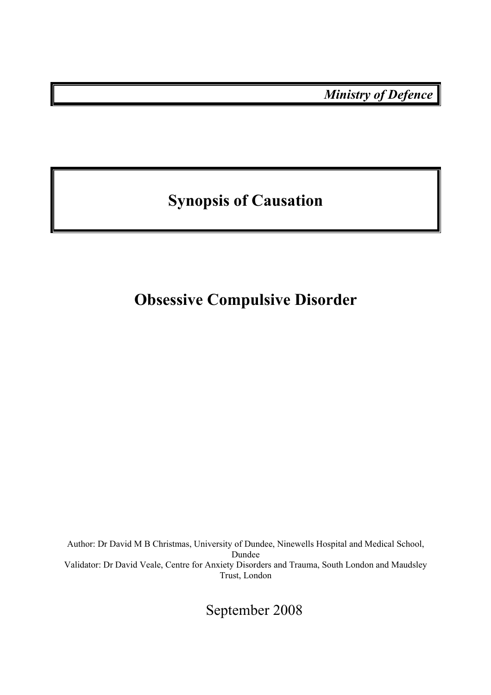*Ministry of Defence* 

# **Synopsis of Causation**

## **Obsessive Compulsive Disorder**

Author: Dr David M B Christmas, University of Dundee, Ninewells Hospital and Medical School, Dundee Validator: Dr David Veale, Centre for Anxiety Disorders and Trauma, South London and Maudsley Trust, London

September 2008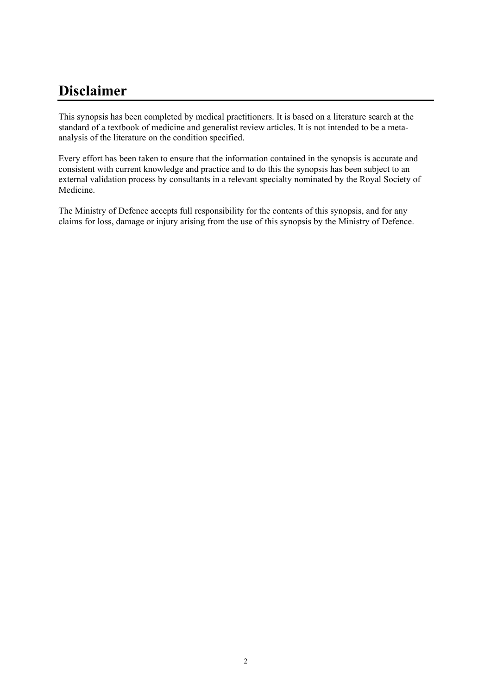## **Disclaimer**

This synopsis has been completed by medical practitioners. It is based on a literature search at the standard of a textbook of medicine and generalist review articles. It is not intended to be a metaanalysis of the literature on the condition specified.

Every effort has been taken to ensure that the information contained in the synopsis is accurate and consistent with current knowledge and practice and to do this the synopsis has been subject to an external validation process by consultants in a relevant specialty nominated by the Royal Society of Medicine.

The Ministry of Defence accepts full responsibility for the contents of this synopsis, and for any claims for loss, damage or injury arising from the use of this synopsis by the Ministry of Defence.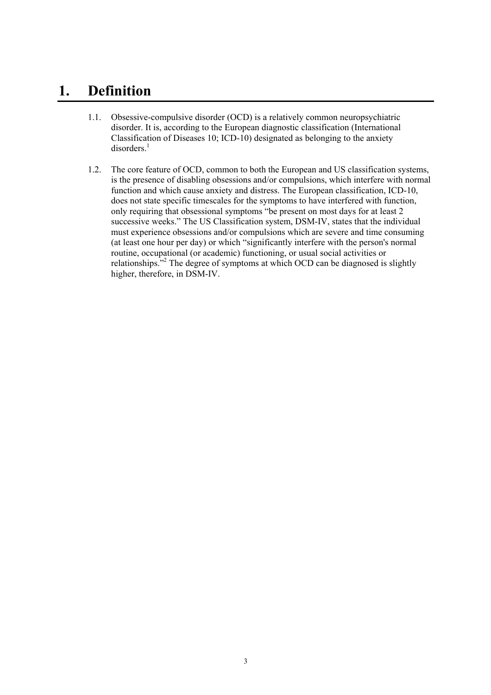### **1. Definition**

- 1.1. Obsessive-compulsive disorder (OCD) is a relatively common neuropsychiatric disorder. It is, according to the European diagnostic classification (International Classification of Diseases 10; ICD-10) designated as belonging to the anxiety  $disorders.<sup>1</sup>$
- 1.2. The core feature of OCD, common to both the European and US classification systems, is the presence of disabling obsessions and/or compulsions, which interfere with normal function and which cause anxiety and distress. The European classification, ICD-10, does not state specific timescales for the symptoms to have interfered with function, only requiring that obsessional symptoms "be present on most days for at least 2 successive weeks." The US Classification system, DSM-IV, states that the individual must experience obsessions and/or compulsions which are severe and time consuming (at least one hour per day) or which "significantly interfere with the person's normal routine, occupational (or academic) functioning, or usual social activities or relationships.<sup>"2</sup> The degree of symptoms at which OCD can be diagnosed is slightly higher, therefore, in DSM-IV.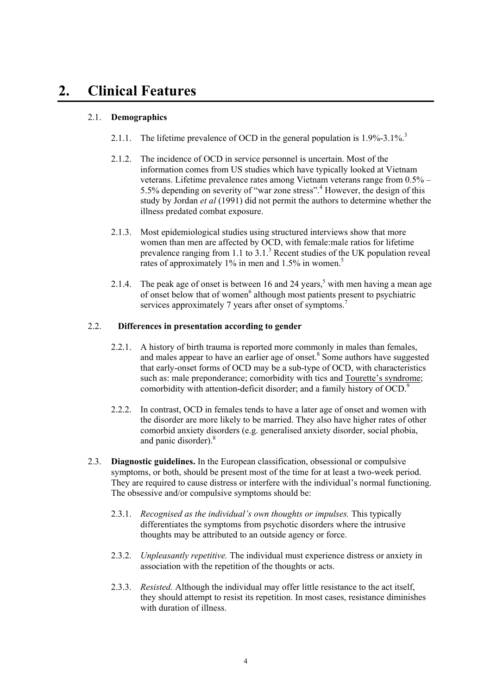## **2. Clinical Features**

#### 2.1. **Demographics**

- 2.1.1. The lifetime prevalence of OCD in the general population is  $1.9\%$ -3.1%.<sup>3</sup>
- 2.1.2. The incidence of OCD in service personnel is uncertain. Most of the information comes from US studies which have typically looked at Vietnam veterans. Lifetime prevalence rates among Vietnam veterans range from 0.5% – 5.5% depending on severity of "war zone stress".4 However, the design of this study by Jordan *et al* (1991) did not permit the authors to determine whether the illness predated combat exposure.
- 2.1.3. Most epidemiological studies using structured interviews show that more women than men are affected by OCD, with female:male ratios for lifetime prevalence ranging from 1.1 to  $3.1<sup>3</sup>$  Recent studies of the UK population reveal rates of approximately  $1\%$  in men and  $1.5\%$  in women.<sup>5</sup>
- 2.1.4. The peak age of onset is between 16 and 24 years,<sup>5</sup> with men having a mean age of onset below that of women<sup>6</sup> although most patients present to psychiatric services approximately 7 years after onset of symptoms.<sup>7</sup>

#### 2.2. **Differences in presentation according to gender**

- 2.2.1. A history of birth trauma is reported more commonly in males than females, and males appear to have an earlier age of onset.<sup>8</sup> Some authors have suggested that early-onset forms of OCD may be a sub-type of OCD, with characteristics such as: male preponderance; comorbidity with tics and Tourette's syndrome; comorbidity with attention-deficit disorder; and a family history of OCD.<sup>9</sup>
- 2.2.2. In contrast, OCD in females tends to have a later age of onset and women with the disorder are more likely to be married. They also have higher rates of other comorbid anxiety disorders (e.g. generalised anxiety disorder, social phobia, and panic disorder).<sup>8</sup>
- 2.3. **Diagnostic guidelines.** In the European classification, obsessional or compulsive symptoms, or both, should be present most of the time for at least a two-week period. They are required to cause distress or interfere with the individual's normal functioning. The obsessive and/or compulsive symptoms should be:
	- 2.3.1. *Recognised as the individual's own thoughts or impulses.* This typically differentiates the symptoms from psychotic disorders where the intrusive thoughts may be attributed to an outside agency or force.
	- 2.3.2. *Unpleasantly repetitive.* The individual must experience distress or anxiety in association with the repetition of the thoughts or acts.
	- 2.3.3. *Resisted.* Although the individual may offer little resistance to the act itself, they should attempt to resist its repetition. In most cases, resistance diminishes with duration of illness.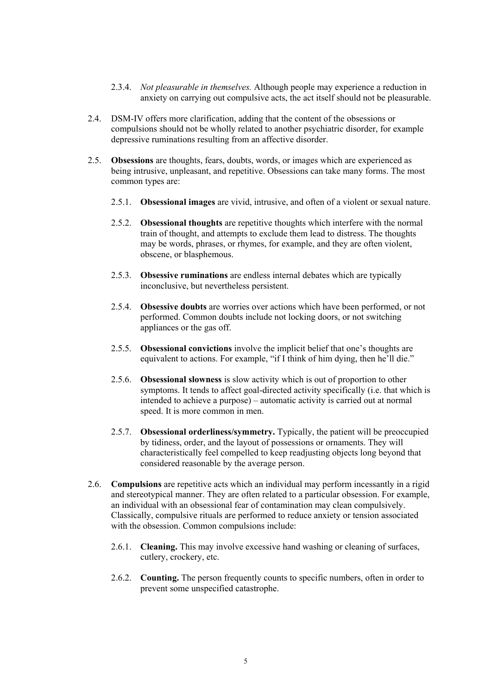- 2.3.4. *Not pleasurable in themselves.* Although people may experience a reduction in anxiety on carrying out compulsive acts, the act itself should not be pleasurable.
- 2.4. DSM-IV offers more clarification, adding that the content of the obsessions or compulsions should not be wholly related to another psychiatric disorder, for example depressive ruminations resulting from an affective disorder.
- 2.5. **Obsessions** are thoughts, fears, doubts, words, or images which are experienced as being intrusive, unpleasant, and repetitive. Obsessions can take many forms. The most common types are:
	- 2.5.1. **Obsessional images** are vivid, intrusive, and often of a violent or sexual nature.
	- 2.5.2. **Obsessional thoughts** are repetitive thoughts which interfere with the normal train of thought, and attempts to exclude them lead to distress. The thoughts may be words, phrases, or rhymes, for example, and they are often violent, obscene, or blasphemous.
	- 2.5.3. **Obsessive ruminations** are endless internal debates which are typically inconclusive, but nevertheless persistent.
	- 2.5.4. **Obsessive doubts** are worries over actions which have been performed, or not performed. Common doubts include not locking doors, or not switching appliances or the gas off.
	- 2.5.5. **Obsessional convictions** involve the implicit belief that one's thoughts are equivalent to actions. For example, "if I think of him dying, then he'll die."
	- 2.5.6. **Obsessional slowness** is slow activity which is out of proportion to other symptoms. It tends to affect goal-directed activity specifically (i.e. that which is intended to achieve a purpose) – automatic activity is carried out at normal speed. It is more common in men.
	- 2.5.7. **Obsessional orderliness/symmetry.** Typically, the patient will be preoccupied by tidiness, order, and the layout of possessions or ornaments. They will characteristically feel compelled to keep readjusting objects long beyond that considered reasonable by the average person.
- 2.6. **Compulsions** are repetitive acts which an individual may perform incessantly in a rigid and stereotypical manner. They are often related to a particular obsession. For example, an individual with an obsessional fear of contamination may clean compulsively. Classically, compulsive rituals are performed to reduce anxiety or tension associated with the obsession. Common compulsions include:
	- 2.6.1. **Cleaning.** This may involve excessive hand washing or cleaning of surfaces, cutlery, crockery, etc.
	- 2.6.2. **Counting.** The person frequently counts to specific numbers, often in order to prevent some unspecified catastrophe.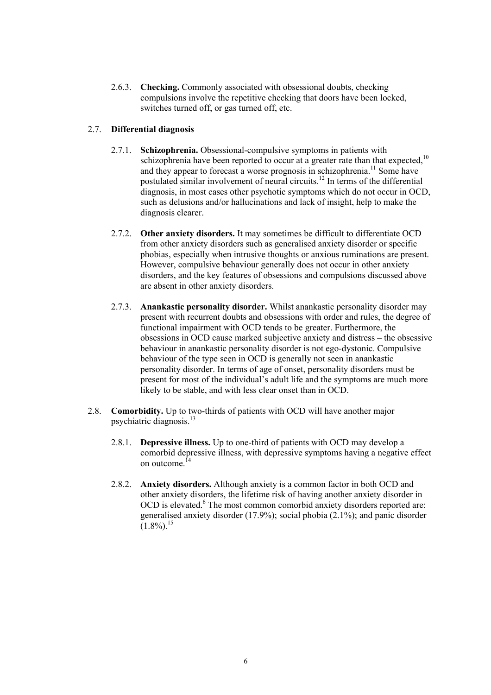2.6.3. **Checking.** Commonly associated with obsessional doubts, checking compulsions involve the repetitive checking that doors have been locked, switches turned off, or gas turned off, etc.

#### 2.7. **Differential diagnosis**

- 2.7.1. **Schizophrenia.** Obsessional-compulsive symptoms in patients with schizophrenia have been reported to occur at a greater rate than that expected, $10$ and they appear to forecast a worse prognosis in schizophrenia.<sup>11</sup> Some have postulated similar involvement of neural circuits.<sup>12</sup> In terms of the differential diagnosis, in most cases other psychotic symptoms which do not occur in OCD, such as delusions and/or hallucinations and lack of insight, help to make the diagnosis clearer.
- 2.7.2. **Other anxiety disorders.** It may sometimes be difficult to differentiate OCD from other anxiety disorders such as generalised anxiety disorder or specific phobias, especially when intrusive thoughts or anxious ruminations are present. However, compulsive behaviour generally does not occur in other anxiety disorders, and the key features of obsessions and compulsions discussed above are absent in other anxiety disorders.
- 2.7.3. **Anankastic personality disorder.** Whilst anankastic personality disorder may present with recurrent doubts and obsessions with order and rules, the degree of functional impairment with OCD tends to be greater. Furthermore, the obsessions in OCD cause marked subjective anxiety and distress – the obsessive behaviour in anankastic personality disorder is not ego-dystonic. Compulsive behaviour of the type seen in OCD is generally not seen in anankastic personality disorder. In terms of age of onset, personality disorders must be present for most of the individual's adult life and the symptoms are much more likely to be stable, and with less clear onset than in OCD.
- 2.8. **Comorbidity.** Up to two-thirds of patients with OCD will have another major psychiatric diagnosis.<sup>13</sup>
	- 2.8.1. **Depressive illness.** Up to one-third of patients with OCD may develop a comorbid depressive illness, with depressive symptoms having a negative effect on outcome <sup>14</sup>
	- 2.8.2. **Anxiety disorders.** Although anxiety is a common factor in both OCD and other anxiety disorders, the lifetime risk of having another anxiety disorder in OCD is elevated.<sup>6</sup> The most common comorbid anxiety disorders reported are: generalised anxiety disorder (17.9%); social phobia (2.1%); and panic disorder  $(1.8\%)$ <sup>15</sup>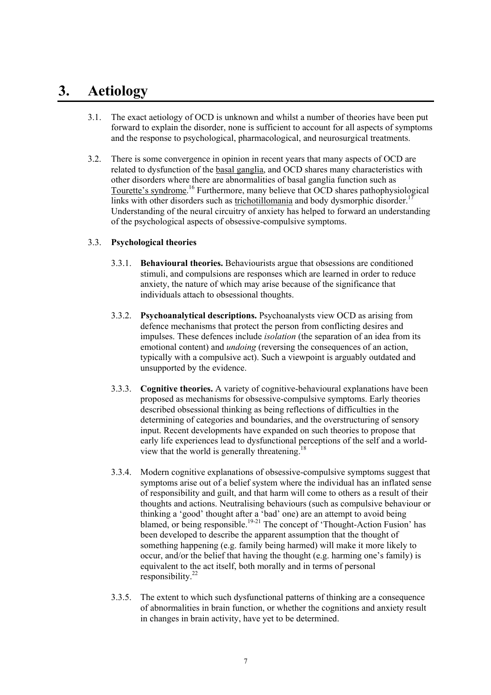## **3. Aetiology**

- 3.1. The exact aetiology of OCD is unknown and whilst a number of theories have been put forward to explain the disorder, none is sufficient to account for all aspects of symptoms and the response to psychological, pharmacological, and neurosurgical treatments.
- 3.2. There is some convergence in opinion in recent years that many aspects of OCD are related to dysfunction of the basal ganglia, and OCD shares many characteristics with other disorders where there are abnormalities of basal ganglia function such as Tourette's syndrome.<sup>16</sup> Furthermore, many believe that OCD shares pathophysiological links with other disorders such as trichotillomania and body dysmorphic disorder.<sup>1</sup> Understanding of the neural circuitry of anxiety has helped to forward an understanding of the psychological aspects of obsessive-compulsive symptoms.

#### 3.3. **Psychological theories**

- 3.3.1. **Behavioural theories.** Behaviourists argue that obsessions are conditioned stimuli, and compulsions are responses which are learned in order to reduce anxiety, the nature of which may arise because of the significance that individuals attach to obsessional thoughts.
- 3.3.2. **Psychoanalytical descriptions.** Psychoanalysts view OCD as arising from defence mechanisms that protect the person from conflicting desires and impulses. These defences include *isolation* (the separation of an idea from its emotional content) and *undoing* (reversing the consequences of an action, typically with a compulsive act). Such a viewpoint is arguably outdated and unsupported by the evidence.
- 3.3.3. **Cognitive theories.** A variety of cognitive-behavioural explanations have been proposed as mechanisms for obsessive-compulsive symptoms. Early theories described obsessional thinking as being reflections of difficulties in the determining of categories and boundaries, and the overstructuring of sensory input. Recent developments have expanded on such theories to propose that early life experiences lead to dysfunctional perceptions of the self and a worldview that the world is generally threatening.18
- 3.3.4. Modern cognitive explanations of obsessive-compulsive symptoms suggest that symptoms arise out of a belief system where the individual has an inflated sense of responsibility and guilt, and that harm will come to others as a result of their thoughts and actions. Neutralising behaviours (such as compulsive behaviour or thinking a 'good' thought after a 'bad' one) are an attempt to avoid being blamed, or being responsible.<sup>19-21</sup> The concept of 'Thought-Action Fusion' has been developed to describe the apparent assumption that the thought of something happening (e.g. family being harmed) will make it more likely to occur, and/or the belief that having the thought (e.g. harming one's family) is equivalent to the act itself, both morally and in terms of personal responsibility. 22
- 3.3.5. The extent to which such dysfunctional patterns of thinking are a consequence of abnormalities in brain function, or whether the cognitions and anxiety result in changes in brain activity, have yet to be determined.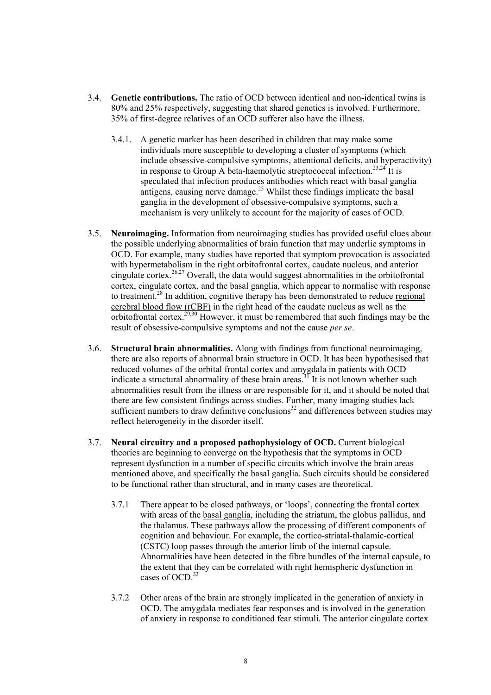- 3.4. **Genetic contributions.** The ratio of OCD between identical and non-identical twins is 80% and 25% respectively, suggesting that shared genetics is involved. Furthermore, 35% of first-degree relatives of an OCD sufferer also have the illness.
	- 3.4.1. A genetic marker has been described in children that may make some individuals more susceptible to developing a cluster of symptoms (which include obsessive-compulsive symptoms, attentional deficits, and hyperactivity) in response to Group A beta-haemolytic streptococcal infection.<sup>23,24</sup> It is speculated that infection produces antibodies which react with basal ganglia antigens, causing nerve damage.<sup>25</sup> Whilst these findings implicate the basal ganglia in the development of obsessive-compulsive symptoms, such a mechanism is very unlikely to account for the majority of cases of OCD.
- 3.5. **Neuroimaging.** Information from neuroimaging studies has provided useful clues about the possible underlying abnormalities of brain function that may underlie symptoms in OCD. For example, many studies have reported that symptom provocation is associated with hypermetabolism in the right orbitofrontal cortex, caudate nucleus, and anterior cingulate cortex.<sup>26,27</sup> Overall, the data would suggest abnormalities in the orbitofrontal cortex, cingulate cortex, and the basal ganglia, which appear to normalise with response to treatment.<sup>28</sup> In addition, cognitive therapy has been demonstrated to reduce regional cerebral blood flow (rCBF) in the right head of the caudate nucleus as well as the orbitofrontal cortex.<sup>29,30</sup> However, it must be remembered that such findings may be the result of obsessive-compulsive symptoms and not the cause *per se*.
- 3.6. **Structural brain abnormalities.** Along with findings from functional neuroimaging, there are also reports of abnormal brain structure in OCD. It has been hypothesised that reduced volumes of the orbital frontal cortex and amygdala in patients with OCD indicate a structural abnormality of these brain areas.<sup>31</sup> It is not known whether such abnormalities result from the illness or are responsible for it, and it should be noted that there are few consistent findings across studies. Further, many imaging studies lack sufficient numbers to draw definitive conclusions<sup>32</sup> and differences between studies may reflect heterogeneity in the disorder itself.
- 3.7. **Neural circuitry and a proposed pathophysiology of OCD.** Current biological theories are beginning to converge on the hypothesis that the symptoms in OCD represent dysfunction in a number of specific circuits which involve the brain areas mentioned above, and specifically the basal ganglia. Such circuits should be considered to be functional rather than structural, and in many cases are theoretical.
	- 3.7.1 There appear to be closed pathways, or 'loops', connecting the frontal cortex with areas of the basal ganglia, including the striatum, the globus pallidus, and the thalamus. These pathways allow the processing of different components of cognition and behaviour. For example, the cortico-striatal-thalamic-cortical (CSTC) loop passes through the anterior limb of the internal capsule. Abnormalities have been detected in the fibre bundles of the internal capsule, to the extent that they can be correlated with right hemispheric dysfunction in cases of OCD. 33
	- 3.7.2 Other areas of the brain are strongly implicated in the generation of anxiety in OCD. The amygdala mediates fear responses and is involved in the generation of anxiety in response to conditioned fear stimuli. The anterior cingulate cortex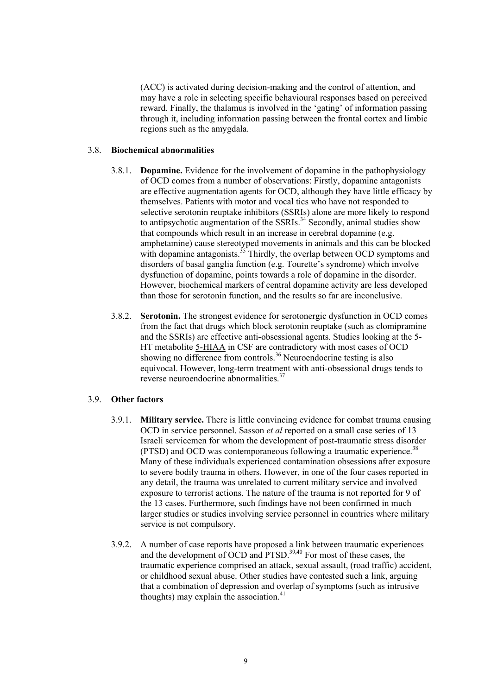(ACC) is activated during decision-making and the control of attention, and may have a role in selecting specific behavioural responses based on perceived reward. Finally, the thalamus is involved in the 'gating' of information passing through it, including information passing between the frontal cortex and limbic regions such as the amygdala.

#### 3.8. **Biochemical abnormalities**

- 3.8.1. **Dopamine.** Evidence for the involvement of dopamine in the pathophysiology of OCD comes from a number of observations: Firstly, dopamine antagonists are effective augmentation agents for OCD, although they have little efficacy by themselves. Patients with motor and vocal tics who have not responded to selective serotonin reuptake inhibitors (SSRIs) alone are more likely to respond to antipsychotic augmentation of the SSRIs.<sup>34</sup> Secondly, animal studies show that compounds which result in an increase in cerebral dopamine (e.g. amphetamine) cause stereotyped movements in animals and this can be blocked with dopamine antagonists.<sup>35</sup> Thirdly, the overlap between OCD symptoms and disorders of basal ganglia function (e.g. Tourette's syndrome) which involve dysfunction of dopamine, points towards a role of dopamine in the disorder. However, biochemical markers of central dopamine activity are less developed than those for serotonin function, and the results so far are inconclusive.
- 3.8.2. **Serotonin.** The strongest evidence for serotonergic dysfunction in OCD comes from the fact that drugs which block serotonin reuptake (such as clomipramine and the SSRIs) are effective anti-obsessional agents. Studies looking at the 5- HT metabolite 5-HIAA in CSF are contradictory with most cases of OCD showing no difference from controls.<sup>36</sup> Neuroendocrine testing is also equivocal. However, long-term treatment with anti-obsessional drugs tends to reverse neuroendocrine abnormalities.<sup>37</sup>

#### 3.9. **Other factors**

- 3.9.1. **Military service.** There is little convincing evidence for combat trauma causing OCD in service personnel. Sasson *et al* reported on a small case series of 13 Israeli servicemen for whom the development of post-traumatic stress disorder (PTSD) and OCD was contemporaneous following a traumatic experience.<sup>38</sup> Many of these individuals experienced contamination obsessions after exposure to severe bodily trauma in others. However, in one of the four cases reported in any detail, the trauma was unrelated to current military service and involved exposure to terrorist actions. The nature of the trauma is not reported for 9 of the 13 cases. Furthermore, such findings have not been confirmed in much larger studies or studies involving service personnel in countries where military service is not compulsory.
- 3.9.2. A number of case reports have proposed a link between traumatic experiences and the development of OCD and PTSD.<sup>39,40</sup> For most of these cases, the traumatic experience comprised an attack, sexual assault, (road traffic) accident, or childhood sexual abuse. Other studies have contested such a link, arguing that a combination of depression and overlap of symptoms (such as intrusive thoughts) may explain the association. $41$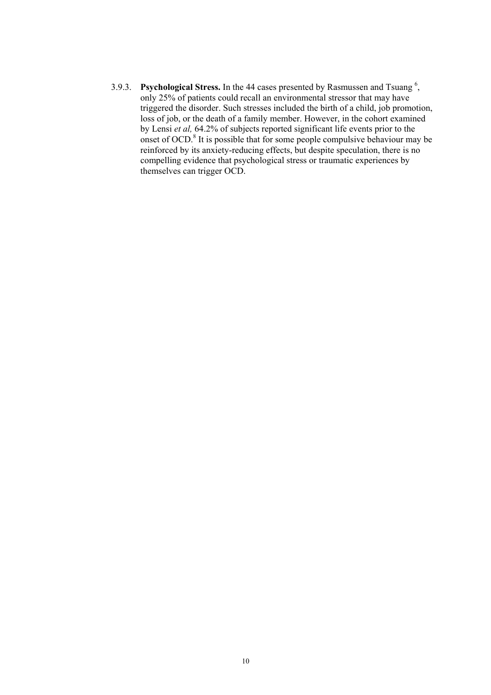3.9.3. **Psychological Stress.** In the 44 cases presented by Rasmussen and Tsuang<sup>6</sup>, only 25% of patients could recall an environmental stressor that may have triggered the disorder. Such stresses included the birth of a child, job promotion, loss of job, or the death of a family member. However, in the cohort examined by Lensi *et al,* 64.2% of subjects reported significant life events prior to the onset of OCD.<sup>8</sup> It is possible that for some people compulsive behaviour may be reinforced by its anxiety-reducing effects, but despite speculation, there is no compelling evidence that psychological stress or traumatic experiences by themselves can trigger OCD.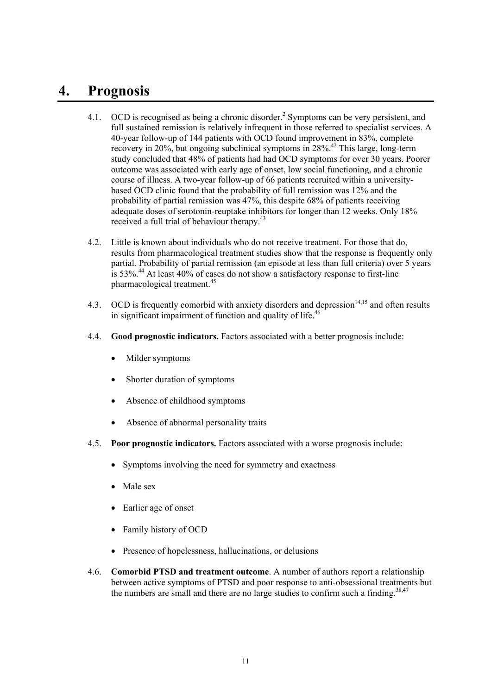### **4. Prognosis**

- 4.1. OCD is recognised as being a chronic disorder.<sup>2</sup> Symptoms can be very persistent, and full sustained remission is relatively infrequent in those referred to specialist services. A 40-year follow-up of 144 patients with OCD found improvement in 83%, complete recovery in 20%, but ongoing subclinical symptoms in 28%.<sup>42</sup> This large, long-term study concluded that 48% of patients had had OCD symptoms for over 30 years. Poorer outcome was associated with early age of onset, low social functioning, and a chronic course of illness. A two-year follow-up of 66 patients recruited within a universitybased OCD clinic found that the probability of full remission was 12% and the probability of partial remission was 47%, this despite 68% of patients receiving adequate doses of serotonin-reuptake inhibitors for longer than 12 weeks. Only 18% received a full trial of behaviour therapy.<sup>43</sup>
- 4.2. Little is known about individuals who do not receive treatment. For those that do, results from pharmacological treatment studies show that the response is frequently only partial. Probability of partial remission (an episode at less than full criteria) over 5 years is 53%.<sup>44</sup> At least 40% of cases do not show a satisfactory response to first-line pharmacological treatment.<sup>45</sup>
- 4.3. OCD is frequently comorbid with anxiety disorders and depression<sup> $14,15$ </sup> and often results in significant impairment of function and quality of life.<sup>46</sup>
- 4.4. **Good prognostic indicators.** Factors associated with a better prognosis include:
	- Milder symptoms
	- Shorter duration of symptoms
	- Absence of childhood symptoms
	- Absence of abnormal personality traits
- 4.5. **Poor prognostic indicators.** Factors associated with a worse prognosis include:
	- Symptoms involving the need for symmetry and exactness
	- Male sex
	- Earlier age of onset
	- Family history of OCD
	- Presence of hopelessness, hallucinations, or delusions
- 4.6. **Comorbid PTSD and treatment outcome**. A number of authors report a relationship between active symptoms of PTSD and poor response to anti-obsessional treatments but the numbers are small and there are no large studies to confirm such a finding.<sup>38,47</sup>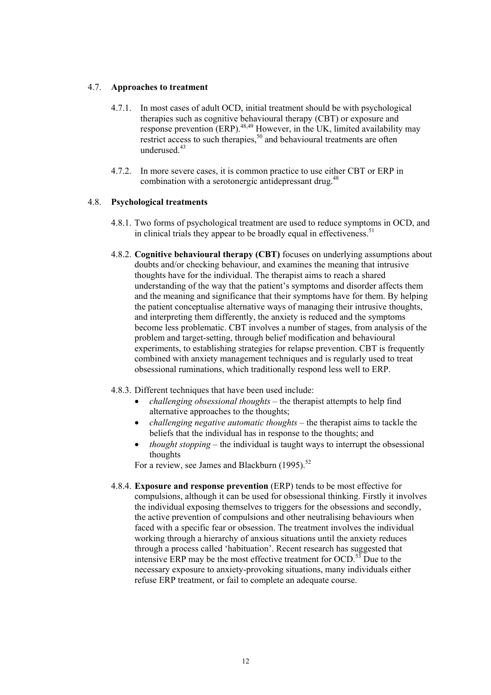#### 4.7. **Approaches to treatment**

- 4.7.1. In most cases of adult OCD, initial treatment should be with psychological therapies such as cognitive behavioural therapy (CBT) or exposure and response prevention (ERP).<sup>48,49</sup> However, in the UK, limited availability may restrict access to such therapies,  $50$  and behavioural treatments are often underused.<sup>43</sup>
- 4.7.2. In more severe cases, it is common practice to use either CBT or ERP in combination with a serotonergic antidepressant drug.<sup>48</sup>

#### 4.8. **Psychological treatments**

- 4.8.1. Two forms of psychological treatment are used to reduce symptoms in OCD, and in clinical trials they appear to be broadly equal in effectiveness.<sup>51</sup>
- 4.8.2. **Cognitive behavioural therapy (CBT)** focuses on underlying assumptions about doubts and/or checking behaviour, and examines the meaning that intrusive thoughts have for the individual. The therapist aims to reach a shared understanding of the way that the patient's symptoms and disorder affects them and the meaning and significance that their symptoms have for them. By helping the patient conceptualise alternative ways of managing their intrusive thoughts, and interpreting them differently, the anxiety is reduced and the symptoms become less problematic. CBT involves a number of stages, from analysis of the problem and target-setting, through belief modification and behavioural experiments, to establishing strategies for relapse prevention. CBT is frequently combined with anxiety management techniques and is regularly used to treat obsessional ruminations, which traditionally respond less well to ERP.
- 4.8.3. Different techniques that have been used include:
	- *challenging obsessional thoughts* the therapist attempts to help find alternative approaches to the thoughts; •
	- $\bullet$ *challenging negative automatic thoughts* – the therapist aims to tackle the beliefs that the individual has in response to the thoughts; and
	- *thought stopping* – the individual is taught ways to interrupt the obsessional thoughts

For a review, see James and Blackburn  $(1995)$ .<sup>52</sup>

4.8.4. **Exposure and response prevention** (ERP) tends to be most effective for compulsions, although it can be used for obsessional thinking. Firstly it involves the individual exposing themselves to triggers for the obsessions and secondly, the active prevention of compulsions and other neutralising behaviours when faced with a specific fear or obsession. The treatment involves the individual working through a hierarchy of anxious situations until the anxiety reduces through a process called 'habituation'. Recent research has suggested that intensive ERP may be the most effective treatment for  $OCD$ .<sup>53</sup> Due to the necessary exposure to anxiety-provoking situations, many individuals either refuse ERP treatment, or fail to complete an adequate course.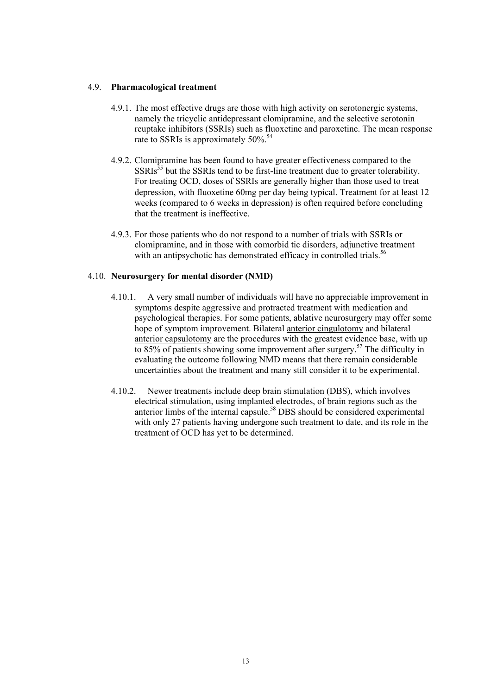#### 4.9. **Pharmacological treatment**

- 4.9.1. The most effective drugs are those with high activity on serotonergic systems, namely the tricyclic antidepressant clomipramine, and the selective serotonin reuptake inhibitors (SSRIs) such as fluoxetine and paroxetine. The mean response rate to SSRIs is approximately 50%.<sup>54</sup>
- 4.9.2. Clomipramine has been found to have greater effectiveness compared to the  $SSRIs<sup>55</sup>$  but the SSRIs tend to be first-line treatment due to greater tolerability. For treating OCD, doses of SSRIs are generally higher than those used to treat depression, with fluoxetine 60mg per day being typical. Treatment for at least 12 weeks (compared to 6 weeks in depression) is often required before concluding that the treatment is ineffective.
- 4.9.3. For those patients who do not respond to a number of trials with SSRIs or clomipramine, and in those with comorbid tic disorders, adjunctive treatment with an antipsychotic has demonstrated efficacy in controlled trials.<sup>56</sup>

#### 4.10. **Neurosurgery for mental disorder (NMD)**

- 4.10.1. A very small number of individuals will have no appreciable improvement in symptoms despite aggressive and protracted treatment with medication and psychological therapies. For some patients, ablative neurosurgery may offer some hope of symptom improvement. Bilateral anterior cingulotomy and bilateral anterior capsulotomy are the procedures with the greatest evidence base, with up to 85% of patients showing some improvement after surgery.<sup>57</sup> The difficulty in evaluating the outcome following NMD means that there remain considerable uncertainties about the treatment and many still consider it to be experimental.
- 4.10.2. Newer treatments include deep brain stimulation (DBS), which involves electrical stimulation, using implanted electrodes, of brain regions such as the anterior limbs of the internal capsule.58 DBS should be considered experimental with only 27 patients having undergone such treatment to date, and its role in the treatment of OCD has yet to be determined.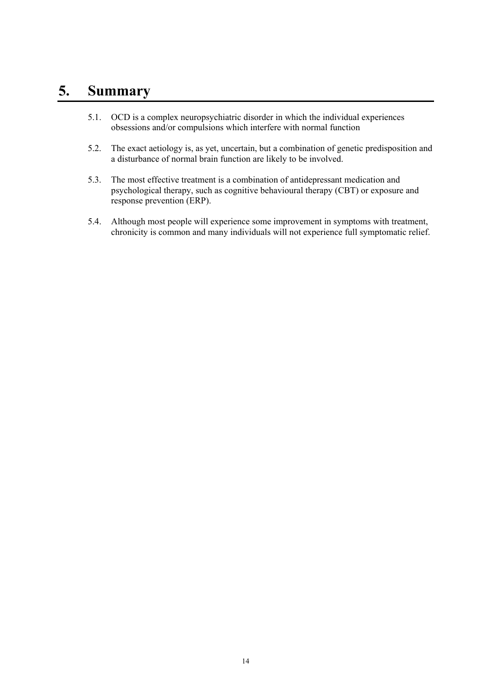## **5. Summary**

- 5.1. OCD is a complex neuropsychiatric disorder in which the individual experiences obsessions and/or compulsions which interfere with normal function
- 5.2. The exact aetiology is, as yet, uncertain, but a combination of genetic predisposition and a disturbance of normal brain function are likely to be involved.
- 5.3. The most effective treatment is a combination of antidepressant medication and psychological therapy, such as cognitive behavioural therapy (CBT) or exposure and response prevention (ERP).
- 5.4. Although most people will experience some improvement in symptoms with treatment, chronicity is common and many individuals will not experience full symptomatic relief.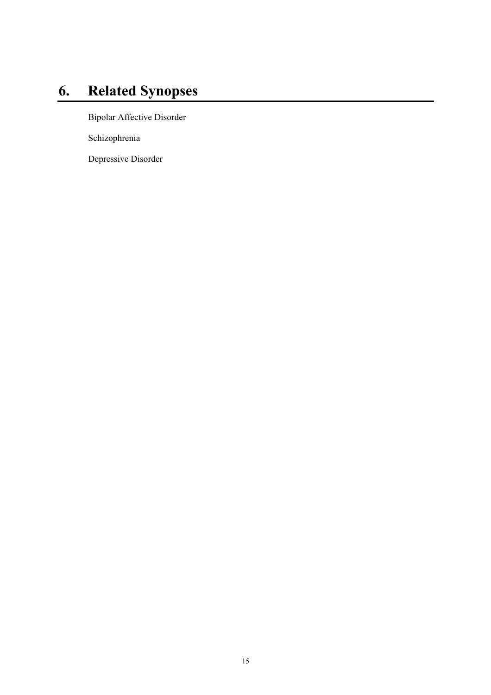# **6. Related Synopses**

Bipolar Affective Disorder

Schizophrenia

Depressive Disorder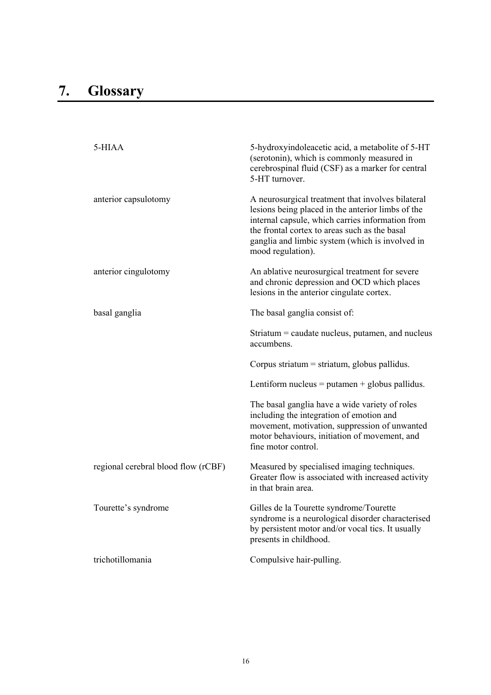| 5-HIAA                              | 5-hydroxyindoleacetic acid, a metabolite of 5-HT<br>(serotonin), which is commonly measured in<br>cerebrospinal fluid (CSF) as a marker for central<br>5-HT turnover.                                                                                                               |
|-------------------------------------|-------------------------------------------------------------------------------------------------------------------------------------------------------------------------------------------------------------------------------------------------------------------------------------|
| anterior capsulotomy                | A neurosurgical treatment that involves bilateral<br>lesions being placed in the anterior limbs of the<br>internal capsule, which carries information from<br>the frontal cortex to areas such as the basal<br>ganglia and limbic system (which is involved in<br>mood regulation). |
| anterior cingulotomy                | An ablative neurosurgical treatment for severe<br>and chronic depression and OCD which places<br>lesions in the anterior cingulate cortex.                                                                                                                                          |
| basal ganglia                       | The basal ganglia consist of:                                                                                                                                                                                                                                                       |
|                                     | Striatum $=$ caudate nucleus, putamen, and nucleus<br>accumbens.                                                                                                                                                                                                                    |
|                                     | Corpus striatum = striatum, globus pallidus.                                                                                                                                                                                                                                        |
|                                     | Lentiform nucleus = putamen + globus pallidus.                                                                                                                                                                                                                                      |
|                                     | The basal ganglia have a wide variety of roles<br>including the integration of emotion and<br>movement, motivation, suppression of unwanted<br>motor behaviours, initiation of movement, and<br>fine motor control.                                                                 |
| regional cerebral blood flow (rCBF) | Measured by specialised imaging techniques.<br>Greater flow is associated with increased activity<br>in that brain area.                                                                                                                                                            |
| Tourette's syndrome                 | Gilles de la Tourette syndrome/Tourette<br>syndrome is a neurological disorder characterised<br>by persistent motor and/or vocal tics. It usually<br>presents in childhood.                                                                                                         |
| trichotillomania                    | Compulsive hair-pulling.                                                                                                                                                                                                                                                            |
|                                     |                                                                                                                                                                                                                                                                                     |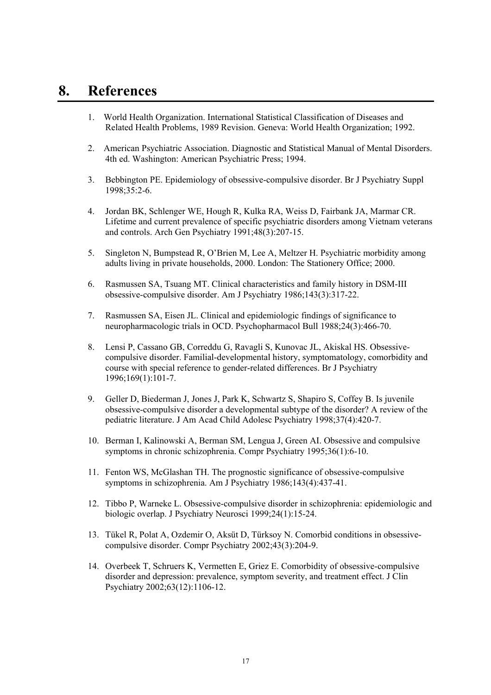### **8. References**

- 1. World Health Organization. International Statistical Classification of Diseases and Related Health Problems, 1989 Revision. Geneva: World Health Organization; 1992.
- 2. American Psychiatric Association. Diagnostic and Statistical Manual of Mental Disorders. 4th ed. Washington: American Psychiatric Press; 1994.
- 3. Bebbington PE. Epidemiology of obsessive-compulsive disorder. Br J Psychiatry Suppl 1998;35:2-6.
- 4. Jordan BK, Schlenger WE, Hough R, Kulka RA, Weiss D, Fairbank JA, Marmar CR. Lifetime and current prevalence of specific psychiatric disorders among Vietnam veterans and controls. Arch Gen Psychiatry 1991;48(3):207-15.
- 5. Singleton N, Bumpstead R, O'Brien M, Lee A, Meltzer H. Psychiatric morbidity among adults living in private households, 2000. London: The Stationery Office; 2000.
- 6. Rasmussen SA, Tsuang MT. Clinical characteristics and family history in DSM-III obsessive-compulsive disorder. Am J Psychiatry 1986;143(3):317-22.
- 7. Rasmussen SA, Eisen JL. Clinical and epidemiologic findings of significance to neuropharmacologic trials in OCD. Psychopharmacol Bull 1988;24(3):466-70.
- 8. Lensi P, Cassano GB, Correddu G, Ravagli S, Kunovac JL, Akiskal HS. Obsessivecompulsive disorder. Familial-developmental history, symptomatology, comorbidity and course with special reference to gender-related differences. Br J Psychiatry 1996;169(1):101-7.
- 9. Geller D, Biederman J, Jones J, Park K, Schwartz S, Shapiro S, Coffey B. Is juvenile obsessive-compulsive disorder a developmental subtype of the disorder? A review of the pediatric literature. J Am Acad Child Adolesc Psychiatry 1998;37(4):420-7.
- 10. Berman I, Kalinowski A, Berman SM, Lengua J, Green AI. Obsessive and compulsive symptoms in chronic schizophrenia. Compr Psychiatry 1995;36(1):6-10.
- 11. Fenton WS, McGlashan TH. The prognostic significance of obsessive-compulsive symptoms in schizophrenia. Am J Psychiatry 1986;143(4):437-41.
- 12. Tibbo P, Warneke L. Obsessive-compulsive disorder in schizophrenia: epidemiologic and biologic overlap. J Psychiatry Neurosci 1999;24(1):15-24.
- 13. Tükel R, Polat A, Ozdemir O, Aksüt D, Türksoy N. Comorbid conditions in obsessivecompulsive disorder. Compr Psychiatry 2002;43(3):204-9.
- 14. Overbeek T, Schruers K, Vermetten E, Griez E. Comorbidity of obsessive-compulsive disorder and depression: prevalence, symptom severity, and treatment effect. J Clin Psychiatry 2002;63(12):1106-12.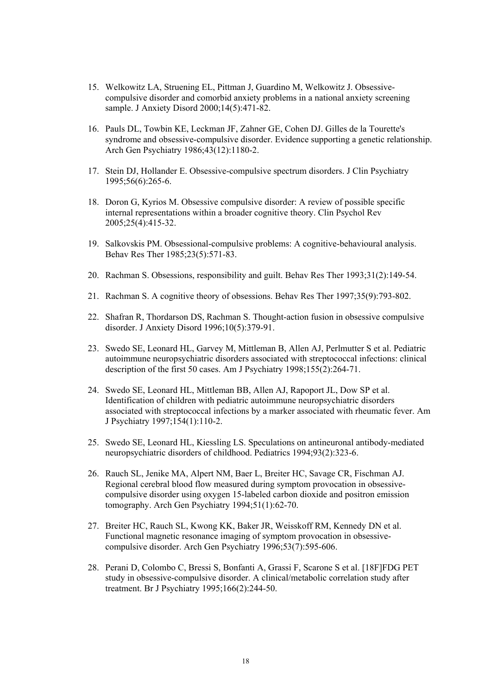- 15. Welkowitz LA, Struening EL, Pittman J, Guardino M, Welkowitz J. Obsessivecompulsive disorder and comorbid anxiety problems in a national anxiety screening sample. J Anxiety Disord 2000;14(5):471-82.
- 16. Pauls DL, Towbin KE, Leckman JF, Zahner GE, Cohen DJ. Gilles de la Tourette's syndrome and obsessive-compulsive disorder. Evidence supporting a genetic relationship. Arch Gen Psychiatry 1986;43(12):1180-2.
- 17. Stein DJ, Hollander E. Obsessive-compulsive spectrum disorders. J Clin Psychiatry 1995;56(6):265-6.
- 18. Doron G, Kyrios M. Obsessive compulsive disorder: A review of possible specific internal representations within a broader cognitive theory. Clin Psychol Rev 2005;25(4):415-32.
- 19. Salkovskis PM. Obsessional-compulsive problems: A cognitive-behavioural analysis. Behav Res Ther 1985;23(5):571-83.
- 20. Rachman S. Obsessions, responsibility and guilt. Behav Res Ther 1993;31(2):149-54.
- 21. Rachman S. A cognitive theory of obsessions. Behav Res Ther 1997;35(9):793-802.
- 22. Shafran R, Thordarson DS, Rachman S. Thought-action fusion in obsessive compulsive disorder. J Anxiety Disord 1996;10(5):379-91.
- 23. Swedo SE, Leonard HL, Garvey M, Mittleman B, Allen AJ, Perlmutter S et al. Pediatric autoimmune neuropsychiatric disorders associated with streptococcal infections: clinical description of the first 50 cases. Am J Psychiatry 1998;155(2):264-71.
- 24. Swedo SE, Leonard HL, Mittleman BB, Allen AJ, Rapoport JL, Dow SP et al. Identification of children with pediatric autoimmune neuropsychiatric disorders associated with streptococcal infections by a marker associated with rheumatic fever. Am J Psychiatry 1997;154(1):110-2.
- 25. Swedo SE, Leonard HL, Kiessling LS. Speculations on antineuronal antibody-mediated neuropsychiatric disorders of childhood. Pediatrics 1994;93(2):323-6.
- 26. Rauch SL, Jenike MA, Alpert NM, Baer L, Breiter HC, Savage CR, Fischman AJ. Regional cerebral blood flow measured during symptom provocation in obsessivecompulsive disorder using oxygen 15-labeled carbon dioxide and positron emission tomography. Arch Gen Psychiatry 1994;51(1):62-70.
- 27. Breiter HC, Rauch SL, Kwong KK, Baker JR, Weisskoff RM, Kennedy DN et al. Functional magnetic resonance imaging of symptom provocation in obsessivecompulsive disorder. Arch Gen Psychiatry 1996;53(7):595-606.
- 28. Perani D, Colombo C, Bressi S, Bonfanti A, Grassi F, Scarone S et al. [18F]FDG PET study in obsessive-compulsive disorder. A clinical/metabolic correlation study after treatment. Br J Psychiatry 1995;166(2):244-50.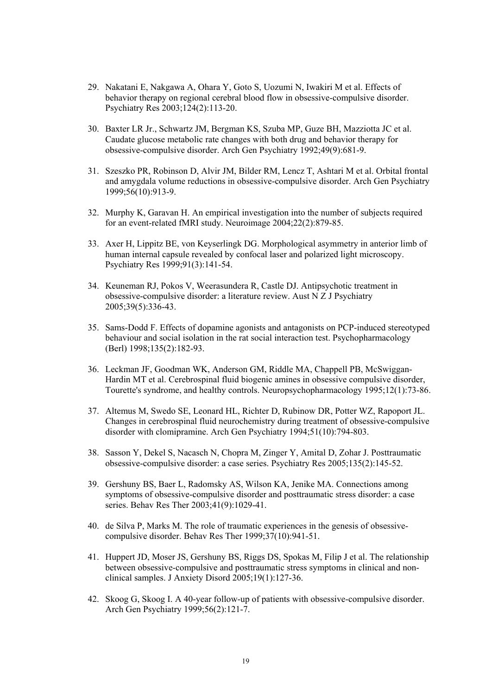- 29. Nakatani E, Nakgawa A, Ohara Y, Goto S, Uozumi N, Iwakiri M et al. Effects of behavior therapy on regional cerebral blood flow in obsessive-compulsive disorder. Psychiatry Res 2003;124(2):113-20.
- 30. Baxter LR Jr., Schwartz JM, Bergman KS, Szuba MP, Guze BH, Mazziotta JC et al. Caudate glucose metabolic rate changes with both drug and behavior therapy for obsessive-compulsive disorder. Arch Gen Psychiatry 1992;49(9):681-9.
- 31. Szeszko PR, Robinson D, Alvir JM, Bilder RM, Lencz T, Ashtari M et al. Orbital frontal and amygdala volume reductions in obsessive-compulsive disorder. Arch Gen Psychiatry 1999;56(10):913-9.
- 32. Murphy K, Garavan H. An empirical investigation into the number of subjects required for an event-related fMRI study. Neuroimage 2004;22(2):879-85.
- 33. Axer H, Lippitz BE, von Keyserlingk DG. Morphological asymmetry in anterior limb of human internal capsule revealed by confocal laser and polarized light microscopy. Psychiatry Res 1999;91(3):141-54.
- 34. Keuneman RJ, Pokos V, Weerasundera R, Castle DJ. Antipsychotic treatment in obsessive-compulsive disorder: a literature review. Aust  $N \times I$  J Psychiatry 2005;39(5):336-43.
- 35. Sams-Dodd F. Effects of dopamine agonists and antagonists on PCP-induced stereotyped behaviour and social isolation in the rat social interaction test. Psychopharmacology (Berl) 1998;135(2):182-93.
- 36. Leckman JF, Goodman WK, Anderson GM, Riddle MA, Chappell PB, McSwiggan-Hardin MT et al. Cerebrospinal fluid biogenic amines in obsessive compulsive disorder, Tourette's syndrome, and healthy controls. Neuropsychopharmacology 1995;12(1):73-86.
- 37. Altemus M, Swedo SE, Leonard HL, Richter D, Rubinow DR, Potter WZ, Rapoport JL. Changes in cerebrospinal fluid neurochemistry during treatment of obsessive-compulsive disorder with clomipramine. Arch Gen Psychiatry 1994;51(10):794-803.
- 38. Sasson Y, Dekel S, Nacasch N, Chopra M, Zinger Y, Amital D, Zohar J. Posttraumatic obsessive-compulsive disorder: a case series. Psychiatry Res 2005;135(2):145-52.
- 39. Gershuny BS, Baer L, Radomsky AS, Wilson KA, Jenike MA. Connections among symptoms of obsessive-compulsive disorder and posttraumatic stress disorder: a case series. Behav Res Ther 2003;41(9):1029-41.
- 40. de Silva P, Marks M. The role of traumatic experiences in the genesis of obsessivecompulsive disorder. Behav Res Ther 1999;37(10):941-51.
- 41. Huppert JD, Moser JS, Gershuny BS, Riggs DS, Spokas M, Filip J et al. The relationship between obsessive-compulsive and posttraumatic stress symptoms in clinical and nonclinical samples. J Anxiety Disord 2005;19(1):127-36.
- 42. Skoog G, Skoog I. A 40-year follow-up of patients with obsessive-compulsive disorder. Arch Gen Psychiatry 1999;56(2):121-7.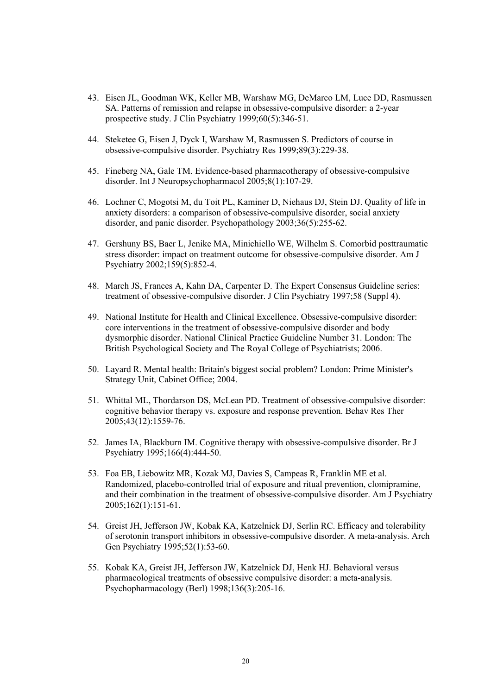- 43. Eisen JL, Goodman WK, Keller MB, Warshaw MG, DeMarco LM, Luce DD, Rasmussen SA. Patterns of remission and relapse in obsessive-compulsive disorder: a 2-year prospective study. J Clin Psychiatry 1999;60(5):346-51.
- 44. Steketee G, Eisen J, Dyck I, Warshaw M, Rasmussen S. Predictors of course in obsessive-compulsive disorder. Psychiatry Res 1999;89(3):229-38.
- 45. Fineberg NA, Gale TM. Evidence-based pharmacotherapy of obsessive-compulsive disorder. Int J Neuropsychopharmacol 2005;8(1):107-29.
- 46. Lochner C, Mogotsi M, du Toit PL, Kaminer D, Niehaus DJ, Stein DJ. Quality of life in anxiety disorders: a comparison of obsessive-compulsive disorder, social anxiety disorder, and panic disorder. Psychopathology 2003;36(5):255-62.
- 47. Gershuny BS, Baer L, Jenike MA, Minichiello WE, Wilhelm S. Comorbid posttraumatic stress disorder: impact on treatment outcome for obsessive-compulsive disorder. Am J Psychiatry 2002;159(5):852-4.
- 48. March JS, Frances A, Kahn DA, Carpenter D. The Expert Consensus Guideline series: treatment of obsessive-compulsive disorder. J Clin Psychiatry 1997;58 (Suppl 4).
- 49. National Institute for Health and Clinical Excellence. Obsessive-compulsive disorder: core interventions in the treatment of obsessive-compulsive disorder and body dysmorphic disorder. National Clinical Practice Guideline Number 31. London: The British Psychological Society and The Royal College of Psychiatrists; 2006.
- 50. Layard R. Mental health: Britain's biggest social problem? London: Prime Minister's Strategy Unit, Cabinet Office; 2004.
- 51. Whittal ML, Thordarson DS, McLean PD. Treatment of obsessive-compulsive disorder: cognitive behavior therapy vs. exposure and response prevention. Behav Res Ther 2005;43(12):1559-76.
- 52. James IA, Blackburn IM. Cognitive therapy with obsessive-compulsive disorder. Br J Psychiatry 1995;166(4):444-50.
- 53. Foa EB, Liebowitz MR, Kozak MJ, Davies S, Campeas R, Franklin ME et al. Randomized, placebo-controlled trial of exposure and ritual prevention, clomipramine, and their combination in the treatment of obsessive-compulsive disorder. Am J Psychiatry 2005;162(1):151-61.
- 54. Greist JH, Jefferson JW, Kobak KA, Katzelnick DJ, Serlin RC. Efficacy and tolerability of serotonin transport inhibitors in obsessive-compulsive disorder. A meta-analysis. Arch Gen Psychiatry 1995;52(1):53-60.
- 55. Kobak KA, Greist JH, Jefferson JW, Katzelnick DJ, Henk HJ. Behavioral versus pharmacological treatments of obsessive compulsive disorder: a meta-analysis. Psychopharmacology (Berl) 1998;136(3):205-16.